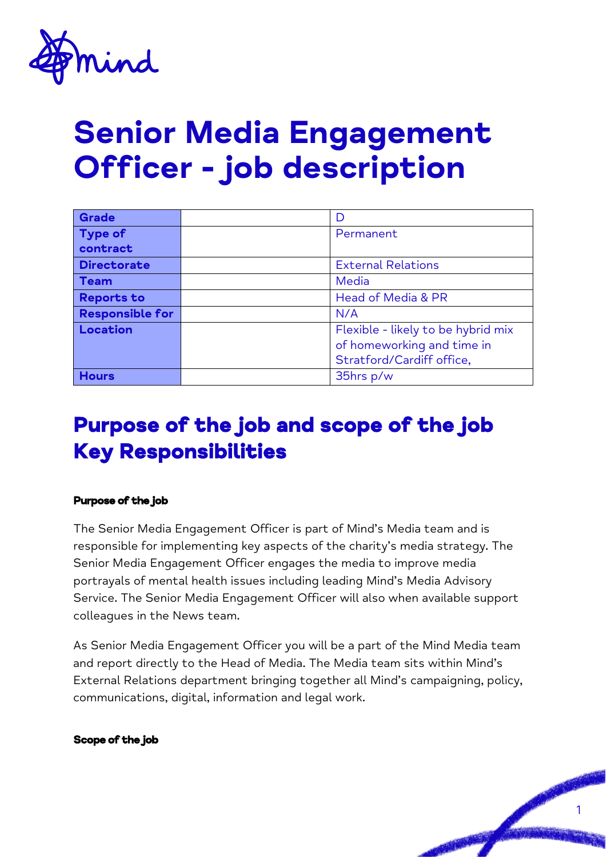

# **Senior Media Engagement Officer - job description**

| <b>Grade</b>           |                                    |
|------------------------|------------------------------------|
| <b>Type of</b>         | Permanent                          |
| contract               |                                    |
| <b>Directorate</b>     | <b>External Relations</b>          |
| <b>Team</b>            | Media                              |
| <b>Reports to</b>      | Head of Media & PR                 |
| <b>Responsible for</b> | N/A                                |
| Location               | Flexible - likely to be hybrid mix |
|                        | of homeworking and time in         |
|                        | Stratford/Cardiff office,          |
| <b>Hours</b>           | 35hrs p/w                          |

## Purpose of the job and scope of the job Key Responsibilities

#### Purpose of the job

The Senior Media Engagement Officer is part of Mind's Media team and is responsible for implementing key aspects of the charity's media strategy. The Senior Media Engagement Officer engages the media to improve media portrayals of mental health issues including leading Mind's Media Advisory Service. The Senior Media Engagement Officer will also when available support colleagues in the News team.

As Senior Media Engagement Officer you will be a part of the Mind Media team and report directly to the Head of Media. The Media team sits within Mind's External Relations department bringing together all Mind's campaigning, policy, communications, digital, information and legal work.

1

#### Scope of the job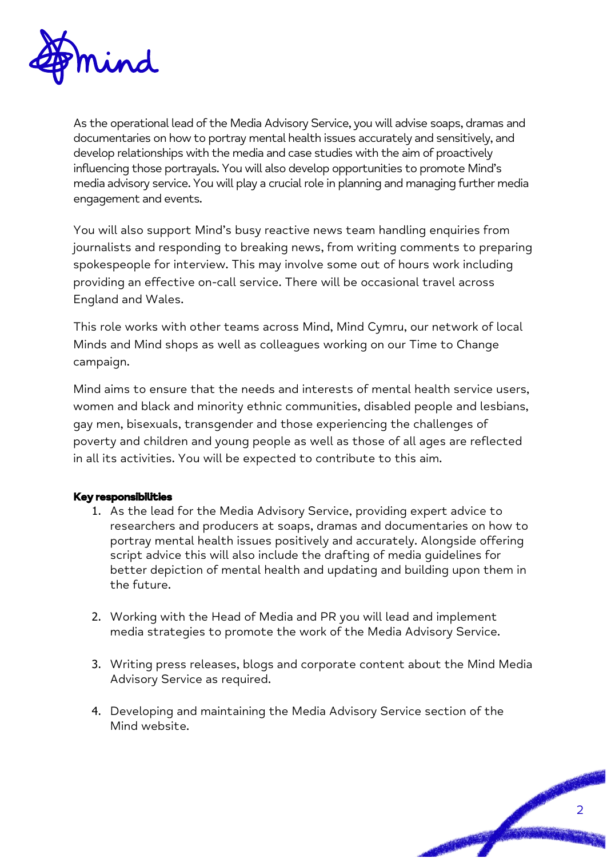

As the operational lead of the Media Advisory Service, you will advise soaps, dramas and documentaries on how to portray mental health issues accurately and sensitively, and develop relationships with the media and case studies with the aim of proactively influencing those portrayals. You will also develop opportunities to promote Mind's media advisory service. You will play a crucial role in planning and managing further media engagement and events.

You will also support Mind's busy reactive news team handling enquiries from journalists and responding to breaking news, from writing comments to preparing spokespeople for interview. This may involve some out of hours work including providing an effective on-call service. There will be occasional travel across England and Wales.

This role works with other teams across Mind, Mind Cymru, our network of local Minds and Mind shops as well as colleagues working on our Time to Change campaign.

Mind aims to ensure that the needs and interests of mental health service users, women and black and minority ethnic communities, disabled people and lesbians, gay men, bisexuals, transgender and those experiencing the challenges of poverty and children and young people as well as those of all ages are reflected in all its activities. You will be expected to contribute to this aim.

#### Key responsibilities

- 1. As the lead for the Media Advisory Service, providing expert advice to researchers and producers at soaps, dramas and documentaries on how to portray mental health issues positively and accurately. Alongside offering script advice this will also include the drafting of media guidelines for better depiction of mental health and updating and building upon them in the future.
- 2. Working with the Head of Media and PR you will lead and implement media strategies to promote the work of the Media Advisory Service.
- 3. Writing press releases, blogs and corporate content about the Mind Media Advisory Service as required.
- 4. Developing and maintaining the Media Advisory Service section of the Mind website.

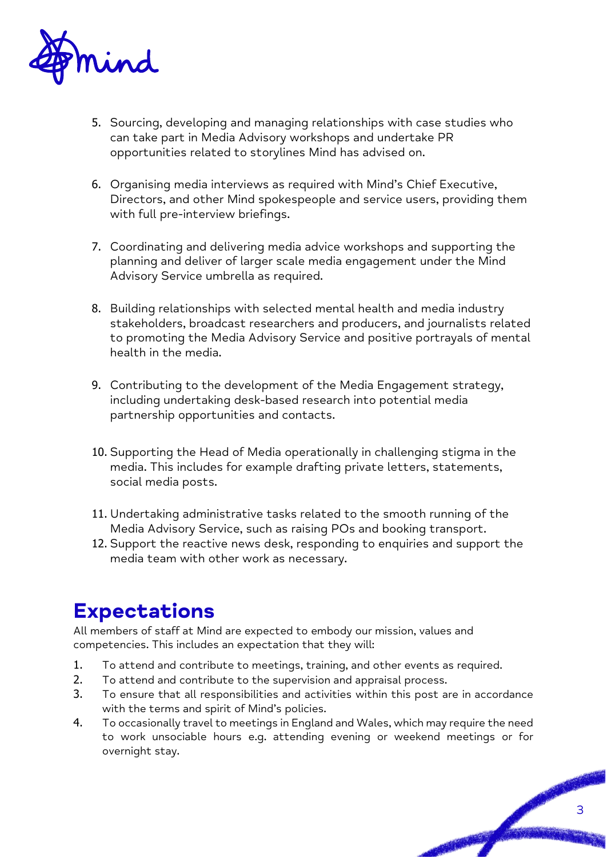

- 5. Sourcing, developing and managing relationships with case studies who can take part in Media Advisory workshops and undertake PR opportunities related to storylines Mind has advised on.
- 6. Organising media interviews as required with Mind's Chief Executive, Directors, and other Mind spokespeople and service users, providing them with full pre-interview briefings.
- 7. Coordinating and delivering media advice workshops and supporting the planning and deliver of larger scale media engagement under the Mind Advisory Service umbrella as required.
- 8. Building relationships with selected mental health and media industry stakeholders, broadcast researchers and producers, and journalists related to promoting the Media Advisory Service and positive portrayals of mental health in the media.
- 9. Contributing to the development of the Media Engagement strategy, including undertaking desk-based research into potential media partnership opportunities and contacts.
- 10. Supporting the Head of Media operationally in challenging stigma in the media. This includes for example drafting private letters, statements, social media posts.
- 11. Undertaking administrative tasks related to the smooth running of the Media Advisory Service, such as raising POs and booking transport.
- 12. Support the reactive news desk, responding to enquiries and support the media team with other work as necessary.

## **Expectations**

All members of staff at Mind are expected to embody our mission, values and competencies. This includes an expectation that they will:

- 1. To attend and contribute to meetings, training, and other events as required.
- 2. To attend and contribute to the supervision and appraisal process.
- 3. To ensure that all responsibilities and activities within this post are in accordance with the terms and spirit of Mind's policies.
- 4. To occasionally travel to meetings in England and Wales, which may require the need to work unsociable hours e.g. attending evening or weekend meetings or for overnight stay.

3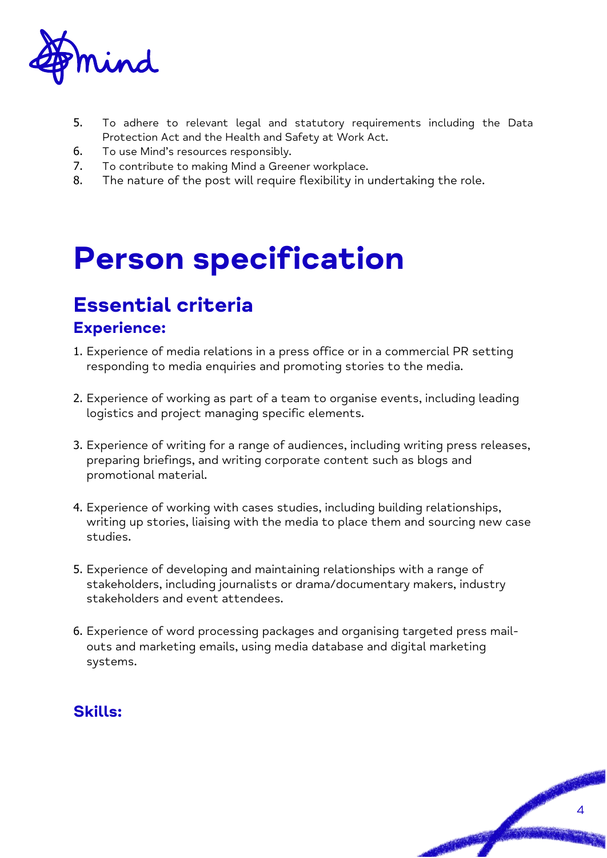

- 5. To adhere to relevant legal and statutory requirements including the Data Protection Act and the Health and Safety at Work Act.
- 6. To use Mind's resources responsibly.
- 7. To contribute to making Mind a Greener workplace.
- 8. The nature of the post will require flexibility in undertaking the role.

# **Person specification**

# **Essential criteria**

### **Experience:**

- 1. Experience of media relations in a press office or in a commercial PR setting responding to media enquiries and promoting stories to the media.
- 2. Experience of working as part of a team to organise events, including leading logistics and project managing specific elements.
- 3. Experience of writing for a range of audiences, including writing press releases, preparing briefings, and writing corporate content such as blogs and promotional material.
- 4. Experience of working with cases studies, including building relationships, writing up stories, liaising with the media to place them and sourcing new case studies.
- 5. Experience of developing and maintaining relationships with a range of stakeholders, including journalists or drama/documentary makers, industry stakeholders and event attendees.
- 6. Experience of word processing packages and organising targeted press mailouts and marketing emails, using media database and digital marketing systems.

### **Skills:**